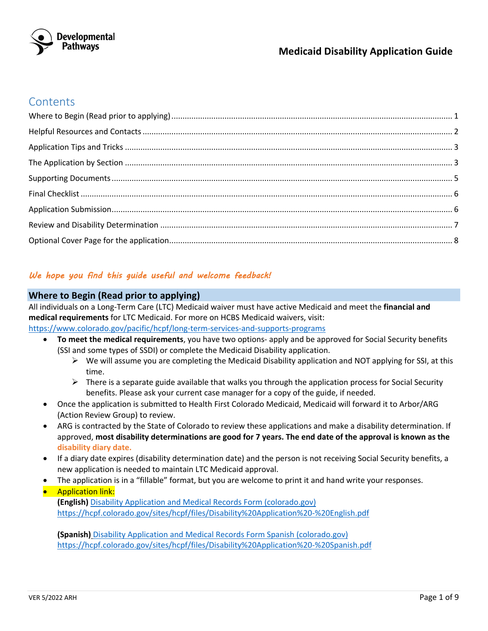

# **Contents**

## We hope you find this guide useful and welcome feedback!

## **Where to Begin (Read prior to applying)**

All individuals on a Long-Term Care (LTC) Medicaid waiver must have active Medicaid and meet the **financial and medical requirements** for LTC Medicaid. For more on HCBS Medicaid waivers, visit: https://www.colorado.gov/pacific/hcpf/long-term-services-and-supports-programs

- **To meet the medical requirements**, you have two options- apply and be approved for Social Security benefits (SSI and some types of SSDI) or complete the Medicaid Disability application.
	- $\triangleright$  We will assume you are completing the Medicaid Disability application and NOT applying for SSI, at this time.
	- $\triangleright$  There is a separate guide available that walks you through the application process for Social Security benefits. Please ask your current case manager for a copy of the guide, if needed.
- Once the application is submitted to Health First Colorado Medicaid, Medicaid will forward it to Arbor/ARG (Action Review Group) to review.
- ARG is contracted by the State of Colorado to review these applications and make a disability determination. If approved, **most disability determinations are good for 7 years. The end date of the approval is known as the disability diary date.**
- If a diary date expires (disability determination date) and the person is not receiving Social Security benefits, a new application is needed to maintain LTC Medicaid approval.
- The application is in a "fillable" format, but you are welcome to print it and hand write your responses.
- Application link: **(English)** Disability Application and Medical Records Form (colorado.gov) https://hcpf.colorado.gov/sites/hcpf/files/Disability%20Application%20-%20English.pdf

**(Spanish)** Disability Application and Medical Records Form Spanish (colorado.gov) https://hcpf.colorado.gov/sites/hcpf/files/Disability%20Application%20-%20Spanish.pdf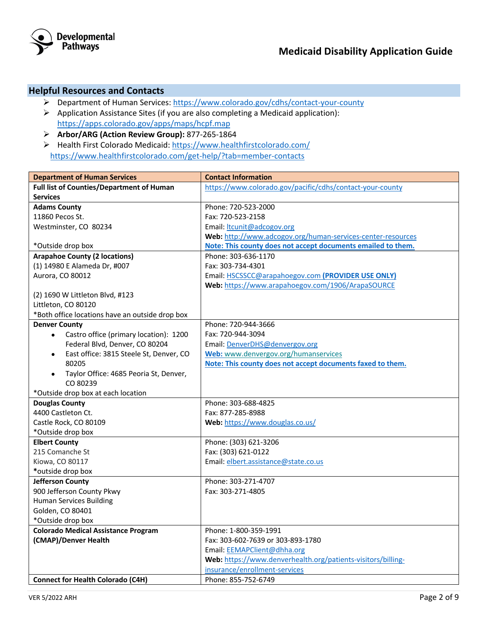

## **Helpful Resources and Contacts**

- Ø Department of Human Services: https://www.colorado.gov/cdhs/contact-your-county
- $\triangleright$  Application Assistance Sites (if you are also completing a Medicaid application): https://apps.colorado.gov/apps/maps/hcpf.map
- Ø **Arbor/ARG (Action Review Group):** 877-265-1864
- Ø Health First Colorado Medicaid: https://www.healthfirstcolorado.com/ https://www.healthfirstcolorado.com/get-help/?tab=member-contacts

| <b>Department of Human Services</b>                  | <b>Contact Information</b>                                   |
|------------------------------------------------------|--------------------------------------------------------------|
| Full list of Counties/Department of Human            | https://www.colorado.gov/pacific/cdhs/contact-your-county    |
| <b>Services</b>                                      |                                                              |
| <b>Adams County</b>                                  | Phone: 720-523-2000                                          |
| 11860 Pecos St.                                      | Fax: 720-523-2158                                            |
| Westminster, CO 80234                                | Email: ltcunit@adcogov.org                                   |
|                                                      | Web: http://www.adcogov.org/human-services-center-resources  |
| *Outside drop box                                    | Note: This county does not accept documents emailed to them. |
| <b>Arapahoe County (2 locations)</b>                 | Phone: 303-636-1170                                          |
| (1) 14980 E Alameda Dr, #007                         | Fax: 303-734-4301                                            |
| Aurora, CO 80012                                     | Email: HSCSSCC@arapahoegov.com (PROVIDER USE ONLY)           |
|                                                      | Web: https://www.arapahoegov.com/1906/ArapaSOURCE            |
| (2) 1690 W Littleton Blvd, #123                      |                                                              |
| Littleton, CO 80120                                  |                                                              |
| *Both office locations have an outside drop box      |                                                              |
| <b>Denver County</b>                                 | Phone: 720-944-3666                                          |
| Castro office (primary location): 1200<br>$\bullet$  | Fax: 720-944-3094                                            |
| Federal Blvd, Denver, CO 80204                       | Email: DenverDHS@denvergov.org                               |
| East office: 3815 Steele St, Denver, CO<br>$\bullet$ | Web: www.denvergov.org/humanservices                         |
| 80205                                                | Note: This county does not accept documents faxed to them.   |
| Taylor Office: 4685 Peoria St, Denver,               |                                                              |
| CO 80239                                             |                                                              |
| *Outside drop box at each location                   |                                                              |
| <b>Douglas County</b>                                | Phone: 303-688-4825                                          |
| 4400 Castleton Ct.                                   | Fax: 877-285-8988                                            |
| Castle Rock, CO 80109                                | Web: https://www.douglas.co.us/                              |
| *Outside drop box                                    |                                                              |
| <b>Elbert County</b>                                 | Phone: (303) 621-3206                                        |
| 215 Comanche St                                      | Fax: (303) 621-0122                                          |
| Kiowa, CO 80117                                      | Email: elbert.assistance@state.co.us                         |
| *outside drop box                                    |                                                              |
| <b>Jefferson County</b>                              | Phone: 303-271-4707                                          |
| 900 Jefferson County Pkwy                            | Fax: 303-271-4805                                            |
| <b>Human Services Building</b>                       |                                                              |
| Golden, CO 80401                                     |                                                              |
| *Outside drop box                                    |                                                              |
| <b>Colorado Medical Assistance Program</b>           | Phone: 1-800-359-1991                                        |
| (CMAP)/Denver Health                                 | Fax: 303-602-7639 or 303-893-1780                            |
|                                                      | Email: EEMAPClient@dhha.org                                  |
|                                                      | Web: https://www.denverhealth.org/patients-visitors/billing- |
|                                                      | insurance/enrollment-services                                |
| <b>Connect for Health Colorado (C4H)</b>             | Phone: 855-752-6749                                          |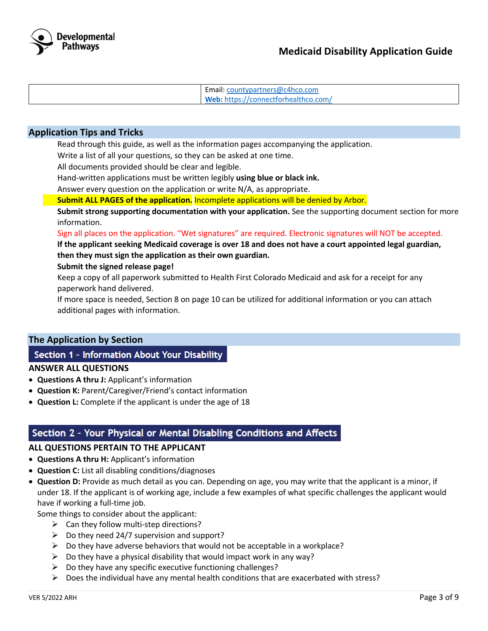

| Email: countypartners@c4hco.com      |
|--------------------------------------|
| Web: https://connectforhealthco.com/ |

## **Application Tips and Tricks**

Read through this guide, as well as the information pages accompanying the application.

Write a list of all your questions, so they can be asked at one time.

All documents provided should be clear and legible.

Hand-written applications must be written legibly **using blue or black ink.**

Answer every question on the application or write N/A, as appropriate.

**Submit ALL PAGES of the application.** Incomplete applications will be denied by Arbor.

 **Submit strong supporting documentation with your application.** See the supporting document section for more information.

#### Sign all places on the application. "Wet signatures" are required. Electronic signatures will NOT be accepted.

 **If the applicant seeking Medicaid coverage is over 18 and does not have a court appointed legal guardian, then they must sign the application as their own guardian.** 

#### **Submit the signed release page!**

 Keep a copy of all paperwork submitted to Health First Colorado Medicaid and ask for a receipt for any paperwork hand delivered.

 If more space is needed, Section 8 on page 10 can be utilized for additional information or you can attach additional pages with information.

## **The Application by Section**

## Section 1 - Information About Your Disability

## **ANSWER ALL QUESTIONS**

- **Questions A thru J:** Applicant's information
- **Question K:** Parent/Caregiver/Friend's contact information
- **Question L:** Complete if the applicant is under the age of 18

## Section 2 - Your Physical or Mental Disabling Conditions and Affects

## **ALL QUESTIONS PERTAIN TO THE APPLICANT**

- **Questions A thru H:** Applicant's information
- **Question C:** List all disabling conditions/diagnoses
- **Question D:** Provide as much detail as you can. Depending on age, you may write that the applicant is a minor, if under 18. If the applicant is of working age, include a few examples of what specific challenges the applicant would have if working a full-time job.

Some things to consider about the applicant:

- $\triangleright$  Can they follow multi-step directions?
- $\triangleright$  Do they need 24/7 supervision and support?
- $\triangleright$  Do they have adverse behaviors that would not be acceptable in a workplace?
- $\triangleright$  Do they have a physical disability that would impact work in any way?
- $\triangleright$  Do they have any specific executive functioning challenges?
- $\triangleright$  Does the individual have any mental health conditions that are exacerbated with stress?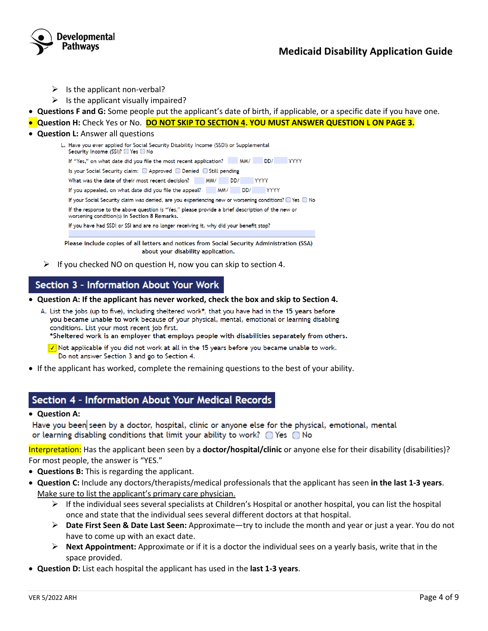



- $\triangleright$  Is the applicant non-verbal?
- $\triangleright$  Is the applicant visually impaired?
- **Questions F and G:** Some people put the applicant's date of birth, if applicable, or a specific date if you have one.
- **Question H:** Check Yes or No. **DO NOT SKIP TO SECTION 4. YOU MUST ANSWER QUESTION L ON PAGE 3.**
- **Question L:** Answer all questions
	- L. Have you ever applied for Social Security Disability Income (SSDI) or Supplemental
	- Security Income (SSI)? Yes No
		- If "Yes," on what date did you file the most recent application? MM/ DD/ YYYY
		- Is your Social Security claim: @ Approved @ Denied @ Still pending
		- What was the date of their most recent decision? MM/ DD/ YYYY If you appealed, on what date did you file the appeal? MM/ MM/ DD/ YYYY
		- If your Social Security claim was denied, are you experiencing new or worsening conditions? O Yes O No
		- If the response to the above question is "Yes," please provide a brief description of the new or
		- worsening condition(s) in Section 8 Remarks.
		- If you have had SSDI or SSI and are no longer receiving it, why did your benefit stop?

Please include copies of all letters and notices from Social Security Administration (SSA) about your disability application.

 $\triangleright$  If you checked NO on question H, now you can skip to section 4.

## Section 3 - Information About Your Work

- **Question A: If the applicant has never worked, check the box and skip to Section 4.** 
	- A. List the jobs (up to five), including sheltered work\*, that you have had in the 15 years before you became unable to work because of your physical, mental, emotional or learning disabling conditions. List your most recent job first.

\*Sheltered work is an employer that employs people with disabilities separately from others.

 $\sqrt{\frac{1}{2}}$  Not applicable if you did not work at all in the 15 years before you became unable to work. Do not answer Section 3 and go to Section 4.

• If the applicant has worked, complete the remaining questions to the best of your ability.

## Section 4 - Information About Your Medical Records

• **Question A:**

Have you been seen by a doctor, hospital, clinic or anyone else for the physical, emotional, mental or learning disabling conditions that limit your ability to work?  $\bigcirc$  Yes  $\bigcirc$  No

Interpretation: Has the applicant been seen by a **doctor/hospital/clinic** or anyone else for their disability (disabilities)? For most people, the answer is "YES."

- **Questions B:** This is regarding the applicant.
- **Question C:** Include any doctors/therapists/medical professionals that the applicant has seen **in the last 1-3 years**. Make sure to list the applicant's primary care physician.
	- $\triangleright$  If the individual sees several specialists at Children's Hospital or another hospital, you can list the hospital once and state that the individual sees several different doctors at that hospital.
	- Ø **Date First Seen & Date Last Seen:** Approximate—try to include the month and year or just a year. You do not have to come up with an exact date.
	- $\triangleright$  **Next Appointment:** Approximate or if it is a doctor the individual sees on a yearly basis, write that in the space provided.
- **Question D:** List each hospital the applicant has used in the **last 1-3 years**.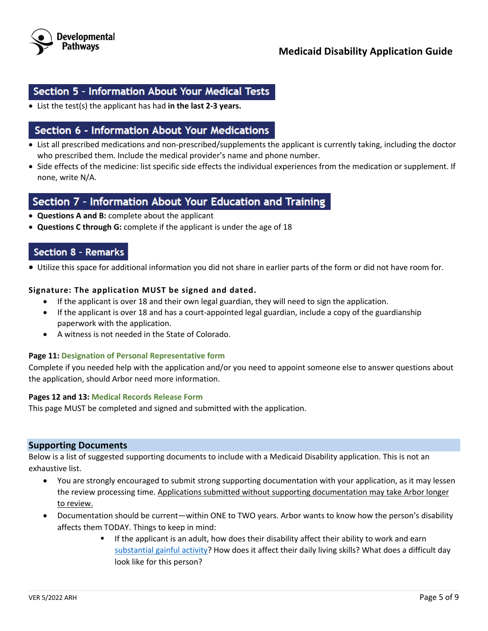

# Section 5 - Information About Your Medical Tests

• List the test(s) the applicant has had **in the last 2-3 years.**

# Section 6 - Information About Your Medications

- List all prescribed medications and non-prescribed/supplements the applicant is currently taking, including the doctor who prescribed them. Include the medical provider's name and phone number.
- Side effects of the medicine: list specific side effects the individual experiences from the medication or supplement. If none, write N/A.

## Section 7 - Information About Your Education and Training

- **Questions A and B:** complete about the applicant
- **Questions C through G:** complete if the applicant is under the age of 18

## **Section 8 - Remarks**

• Utilize this space for additional information you did not share in earlier parts of the form or did not have room for.

## **Signature: The application MUST be signed and dated.**

- If the applicant is over 18 and their own legal guardian, they will need to sign the application.
- If the applicant is over 18 and has a court-appointed legal guardian, include a copy of the guardianship paperwork with the application.
- A witness is not needed in the State of Colorado.

#### **Page 11: Designation of Personal Representative form**

Complete if you needed help with the application and/or you need to appoint someone else to answer questions about the application, should Arbor need more information.

## **Pages 12 and 13: Medical Records Release Form**

This page MUST be completed and signed and submitted with the application.

## **Supporting Documents**

Below is a list of suggested supporting documents to include with a Medicaid Disability application. This is not an exhaustive list.

- You are strongly encouraged to submit strong supporting documentation with your application, as it may lessen the review processing time. Applications submitted without supporting documentation may take Arbor longer to review.
- Documentation should be current—within ONE to TWO years. Arbor wants to know how the person's disability affects them TODAY. Things to keep in mind:
	- If the applicant is an adult, how does their disability affect their ability to work and earn substantial gainful activity? How does it affect their daily living skills? What does a difficult day look like for this person?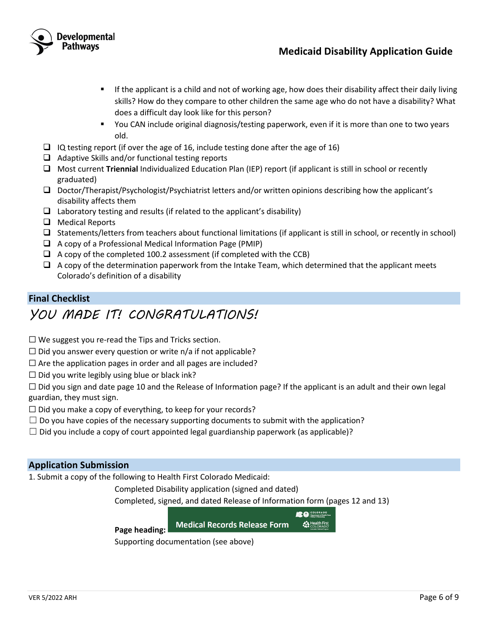



- If the applicant is a child and not of working age, how does their disability affect their daily living skills? How do they compare to other children the same age who do not have a disability? What does a difficult day look like for this person?
- You CAN include original diagnosis/testing paperwork, even if it is more than one to two years old.
- $\Box$  IQ testing report (if over the age of 16, include testing done after the age of 16)
- $\Box$  Adaptive Skills and/or functional testing reports
- q Most current **Triennial** Individualized Education Plan (IEP) report (if applicant is still in school or recently graduated)
- $\Box$  Doctor/Therapist/Psychologist/Psychiatrist letters and/or written opinions describing how the applicant's disability affects them
- $\Box$  Laboratory testing and results (if related to the applicant's disability)
- $\Box$  Medical Reports
- $\Box$  Statements/letters from teachers about functional limitations (if applicant is still in school, or recently in school)
- $\Box$  A copy of a Professional Medical Information Page (PMIP)
- $\Box$  A copy of the completed 100.2 assessment (if completed with the CCB)
- $\Box$  A copy of the determination paperwork from the Intake Team, which determined that the applicant meets Colorado's definition of a disability

## **Final Checklist**

# YOU MADE IT! CONGRATULATIONS!

 $\Box$  We suggest you re-read the Tips and Tricks section.

- $\Box$  Did you answer every question or write n/a if not applicable?
- $\Box$  Are the application pages in order and all pages are included?

 $\Box$  Did you write legibly using blue or black ink?

 $\Box$  Did you sign and date page 10 and the Release of Information page? If the applicant is an adult and their own legal guardian, they must sign.

 $\Box$  Did you make a copy of everything, to keep for your records?

- $\Box$  Do you have copies of the necessary supporting documents to submit with the application?
- $\Box$  Did you include a copy of court appointed legal guardianship paperwork (as applicable)?

## **Application Submission**

1. Submit a copy of the following to Health First Colorado Medicaid:

Completed Disability application (signed and dated)

Completed, signed, and dated Release of Information form (pages 12 and 13)



**Page heading:**

Supporting documentation (see above)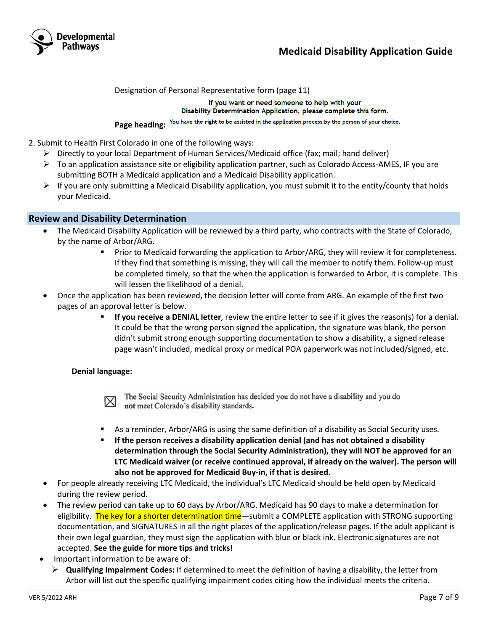

Designation of Personal Representative form (page 11)

#### If you want or need someone to help with your Disability Determination Application, please complete this form.

Page heading: You have the right to be assisted in the application process by the person of your choice.

2. Submit to Health First Colorado in one of the following ways:

- $\triangleright$  Directly to your local Department of Human Services/Medicaid office (fax; mail; hand deliver)
- $\triangleright$  To an application assistance site or eligibility application partner, such as Colorado Access-AMES, IF you are submitting BOTH a Medicaid application and a Medicaid Disability application.
- $\triangleright$  If you are only submitting a Medicaid Disability application, you must submit it to the entity/county that holds your Medicaid.

## **Review and Disability Determination**

- The Medicaid Disability Application will be reviewed by a third party, who contracts with the State of Colorado, by the name of Arbor/ARG.
	- § Prior to Medicaid forwarding the application to Arbor/ARG, they will review it for completeness. If they find that something is missing, they will call the member to notify them. Follow-up must be completed timely, so that the when the application is forwarded to Arbor, it is complete. This will lessen the likelihood of a denial.
- Once the application has been reviewed, the decision letter will come from ARG. An example of the first two pages of an approval letter is below.
	- **If you receive a DENIAL letter**, review the entire letter to see if it gives the reason(s) for a denial. It could be that the wrong person signed the application, the signature was blank, the person didn't submit strong enough supporting documentation to show a disability, a signed release page wasn't included, medical proxy or medical POA paperwork was not included/signed, etc.

## **Denial language:**



The Social Security Administration has decided you do not have a disability and you do not meet Colorado's disability standards.

- As a reminder, Arbor/ARG is using the same definition of a disability as Social Security uses.
- § **If the person receives a disability application denial (and has not obtained a disability determination through the Social Security Administration), they will NOT be approved for an LTC Medicaid waiver (or receive continued approval, if already on the waiver). The person will also not be approved for Medicaid Buy-in, if that is desired.**
- For people already receiving LTC Medicaid, the individual's LTC Medicaid should be held open by Medicaid during the review period.
- The review period can take up to 60 days by Arbor/ARG. Medicaid has 90 days to make a determination for eligibility. The key for a shorter determination time—submit a COMPLETE application with STRONG supporting documentation, and SIGNATURES in all the right places of the application/release pages. If the adult applicant is their own legal guardian, they must sign the application with blue or black ink. Electronic signatures are not accepted. **See the guide for more tips and tricks!**
- Important information to be aware of:
	- Ø **Qualifying Impairment Codes:** If determined to meet the definition of having a disability, the letter from Arbor will list out the specific qualifying impairment codes citing how the individual meets the criteria.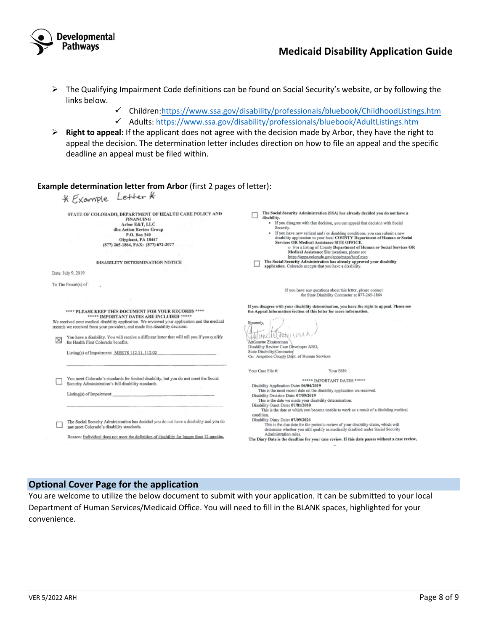

- $\triangleright$  The Qualifying Impairment Code definitions can be found on Social Security's website, or by following the links below.
	- $\checkmark$  Children:https://www.ssa.gov/disability/professionals/bluebook/ChildhoodListings.htm  $\checkmark$  Adults: https://www.ssa.gov/disability/professionals/bluebook/AdultListings.htm
- Ø **Right to appeal:** If the applicant does not agree with the decision made by Arbor, they have the right to appeal the decision. The determination letter includes direction on how to file an appeal and the specific deadline an appeal must be filed within.

**Example determination letter from Arbor** (first 2 pages of letter): The Social Security Administration (SSA) has already decided you do not have a STATE OF COLORADO, DEPARTMENT OF HEALTH CARE POLICY AND  $$\tt FINANCING$$ disability. If you disagree with that decision, you can appeal that decision with Social Arbor E&T, LLC Security. dba Action Review Group overainty<br>of the university of disabling conditions, you can submit a new<br>disability application to your local COUNTY Department of Human or Social<br>Services OR Medical Assistance SITE OFFICE. P.O. Box 340 Olyphant, PA 18447<br>(877) 265-1864, FAX: (877) 672-2077 O For a listing of County Department of Human or Social Services OR Medical Assistance Site locations, please see https://apps.colorado.gov/apps/maps/hcpf.map The Social Security Administration has already approved your disability<br>application. Colorado accepts that you have a disability. DISARILITY DETERMINATION NOTICE Date: July 9, 2019 To The Parent(s) of If you have any questions about this letter, please contac<br>the State Disability Contractor at 877-265-1864 If you disagree with your disability determination, you have the right to appeal. Please see<br>the Appeal Information section of this letter for more information. \*\*\*\* PLEASE KEEP THIS DOCUMENT FOR YOUR RECORDS \*\*\*\* \*\*\*\*\* IMPORTANT DATES ARE INCLUDED \*\*\*\*\*<br>We received your medical disability application. We reviewed your application and the medical Sincerely. records we received from your providers, and made this disability decision: Atimitation You have a disability. You will receive a different letter that will tell you if you qualify  $\boxtimes$  rou have a disability. You will red for Health First Colorado benefits. Antionette Zimmerman **Andoueue Zimmerman**<br>Disability Review Case Developer ARG,<br>State Disability Contractor Listing(s) of Impairment: MEETS 112.11, 112.02 Ce: Arapahoe County Dept. of Human Services Your SSN: Your Case File #: You meet Colorado's standards for limited disability, but you do not meet the Social \*\*\*\*\* IMPORTANT DATES \*\*\*\*\* Security Administration's full disability standards. Disability Application Date: 06/04/2019 This is the most recent date on the disability application we received. Listing(s) of Impairment: Disability Decision Date: 07/09/2019 This is the date we made your disability determination. Disability Onset Date: 07/01/2010<br>This is the date at which you became unable to work as a result of a disabling medical condition. Disability Diary Date: 07/09/2026 The Social Security Administration has decided you do not have a disability and you do ing basis the due date for the periodic review of your disability claim, which will determine whether you still qualify as medically disabled under Social Security n. not meet Colorado's disability standards Administration rules. Reason: Individual does not meet the definition of disability for longer than 12 months. The Diary Date is the deadline for your case review. If this date passes without a case review,

## **Optional Cover Page for the application**

You are welcome to utilize the below document to submit with your application. It can be submitted to your local Department of Human Services/Medicaid Office. You will need to fill in the BLANK spaces, highlighted for your convenience.